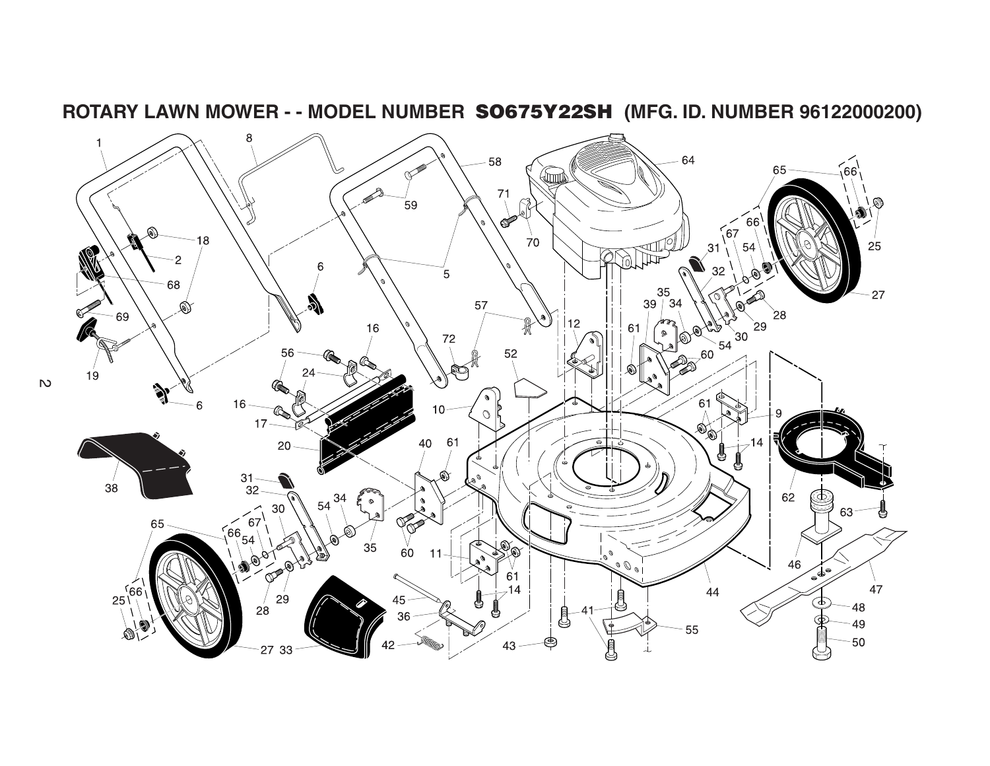

**ROTARY LAWN MOWER - - MODEL NUMBER SO675Y22SH (MFG. ID. NUMBER 96122000200)**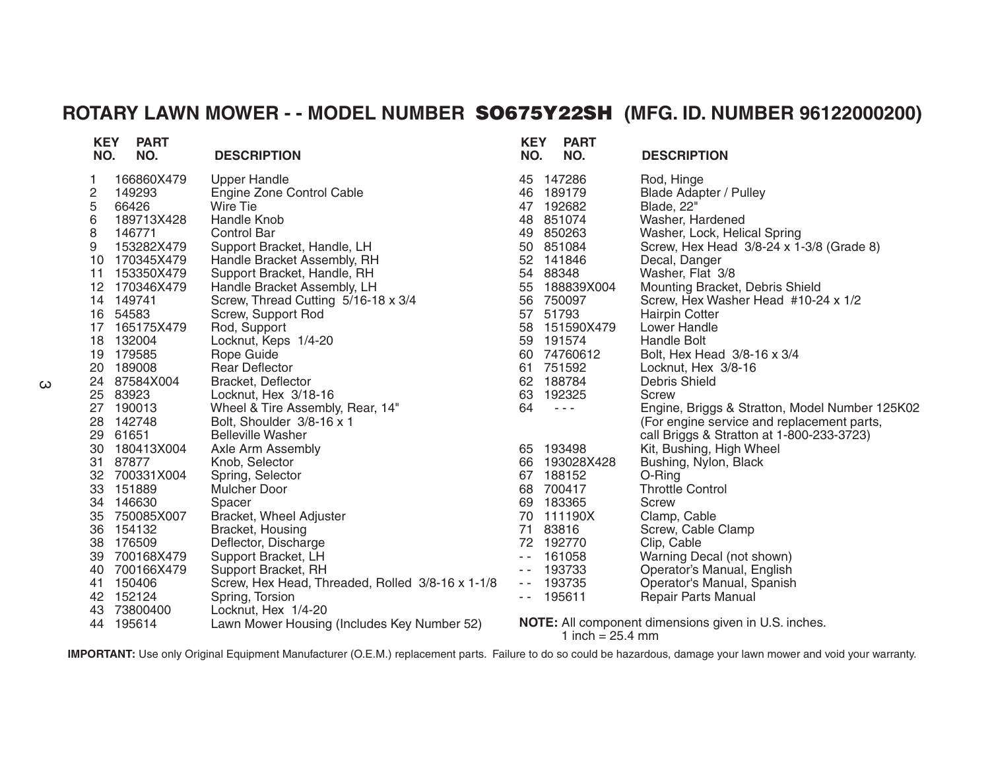## **ROTARY LAWN MOWER - - MODEL NUMBER SO675Y22SH (MFG. ID. NUMBER 96122000200)**

| <b>KEY</b><br>NO. | <b>PART</b><br>NO. | <b>DESCRIPTION</b>                               | <b>KEY</b><br>NO.                        | <b>PART</b><br>NO.         | <b>DESCRIPTION</b>                                   |
|-------------------|--------------------|--------------------------------------------------|------------------------------------------|----------------------------|------------------------------------------------------|
| 1                 | 166860X479         | <b>Upper Handle</b>                              | 45                                       | 147286                     | Rod, Hinge                                           |
| 2                 | 149293             | Engine Zone Control Cable                        | 46                                       | 189179                     | <b>Blade Adapter / Pulley</b>                        |
| 5                 | 66426              | Wire Tie                                         |                                          | 47 192682                  | Blade, 22"                                           |
| 6                 | 189713X428         | <b>Handle Knob</b>                               | 48                                       | 851074                     | Washer, Hardened                                     |
| 8                 | 146771             | <b>Control Bar</b>                               |                                          | 49 850263                  | Washer, Lock, Helical Spring                         |
| 9                 | 153282X479         | Support Bracket, Handle, LH                      |                                          | 50 851084                  | Screw, Hex Head 3/8-24 x 1-3/8 (Grade 8)             |
| 10                | 170345X479         | Handle Bracket Assembly, RH                      | 52                                       | 141846                     | Decal, Danger                                        |
| 11                | 153350X479         | Support Bracket, Handle, RH                      | 54                                       | 88348                      | Washer, Flat 3/8                                     |
|                   | 12 170346X479      | Handle Bracket Assembly, LH                      | 55                                       | 188839X004                 | Mounting Bracket, Debris Shield                      |
|                   | 14 149741          | Screw, Thread Cutting 5/16-18 x 3/4              | 56                                       | 750097                     | Screw, Hex Washer Head #10-24 x 1/2                  |
| 16                | 54583              | Screw, Support Rod                               | 57                                       | 51793                      | <b>Hairpin Cotter</b>                                |
| 17                | 165175X479         | Rod, Support                                     | 58                                       | 151590X479                 | Lower Handle                                         |
|                   | 18 132004          | Locknut, Keps 1/4-20                             |                                          | 59 191574                  | <b>Handle Bolt</b>                                   |
| 19                | 179585             | Rope Guide                                       | 60                                       | 74760612                   | Bolt, Hex Head 3/8-16 x 3/4                          |
| 20                | 189008             | <b>Rear Deflector</b>                            | 61                                       | 751592                     | Locknut, Hex 3/8-16                                  |
| 24                | 87584X004          | Bracket, Deflector                               |                                          | 62 188784                  | <b>Debris Shield</b>                                 |
| 25                | 83923              | Locknut, Hex 3/18-16                             | 63                                       | 192325                     | Screw                                                |
| 27                | 190013             | Wheel & Tire Assembly, Rear, 14"                 | 64                                       | $  -$                      | Engine, Briggs & Stratton, Model Number 125K02       |
| 28                | 142748             | Bolt, Shoulder 3/8-16 x 1                        |                                          |                            | (For engine service and replacement parts,           |
| 29                | 61651              | <b>Belleville Washer</b>                         |                                          |                            | call Briggs & Stratton at 1-800-233-3723)            |
| 30                | 180413X004         | Axle Arm Assembly                                |                                          | 65 193498                  | Kit, Bushing, High Wheel                             |
| 31                | 87877              | Knob, Selector                                   | 66                                       | 193028X428                 | Bushing, Nylon, Black                                |
| 32                | 700331X004         | Spring, Selector                                 | 67                                       | 188152                     | O-Ring                                               |
| 33                | 151889             | Mulcher Door                                     | 68                                       | 700417                     | <b>Throttle Control</b>                              |
| 34                | 146630             | Spacer                                           | 69                                       | 183365                     | Screw                                                |
| 35                | 750085X007         | <b>Bracket, Wheel Adjuster</b>                   | 70                                       | 111190X                    | Clamp, Cable                                         |
| 36                | 154132             | Bracket, Housing                                 | 71                                       | 83816                      | Screw, Cable Clamp                                   |
| 38                | 176509             | Deflector, Discharge                             |                                          | 72 192770                  | Clip, Cable                                          |
| 39                | 700168X479         | Support Bracket, LH                              | $\sim$ $\sim$                            | 161058                     | Warning Decal (not shown)                            |
| 40                | 700166X479         | Support Bracket, RH                              | $\frac{1}{2} \left( \frac{1}{2} \right)$ | 193733                     | Operator's Manual, English                           |
| 41                | 150406             | Screw, Hex Head, Threaded, Rolled 3/8-16 x 1-1/8 | $\frac{1}{2} \left( \frac{1}{2} \right)$ | 193735                     | Operator's Manual, Spanish                           |
| 42                | 152124             | Spring, Torsion                                  | $ -$                                     | 195611                     | <b>Repair Parts Manual</b>                           |
| 43                | 73800400           | Locknut, Hex 1/4-20                              |                                          |                            |                                                      |
|                   | 44 195614          | Lawn Mower Housing (Includes Key Number 52)      |                                          | 1 inch = $25.4 \text{ mm}$ | NOTE: All component dimensions given in U.S. inches. |

**IMPORTANT:** Use only Original Equipment Manufacturer (O.E.M.) replacement parts. Failure to do so could be hazardous, damage your lawn mower and void your warranty.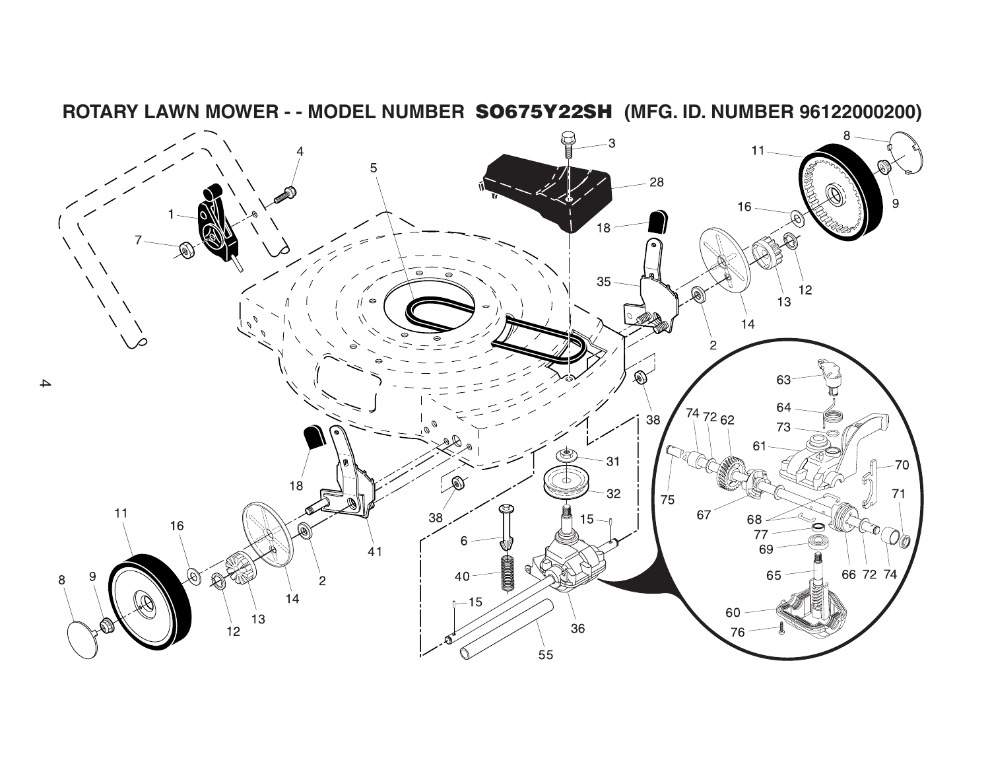

**ROTARY LAWN MOWER - - MODEL NUMBER SO675Y22SH (MFG. ID. NUMBER 96122000200)**